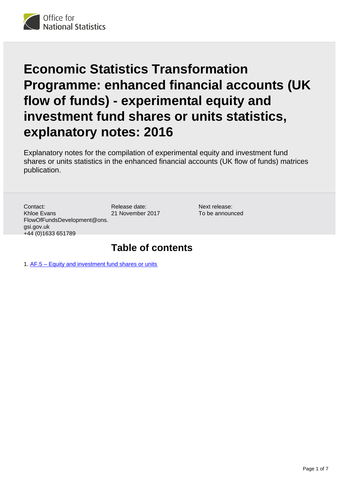

# **Economic Statistics Transformation Programme: enhanced financial accounts (UK flow of funds) - experimental equity and investment fund shares or units statistics, explanatory notes: 2016**

Explanatory notes for the compilation of experimental equity and investment fund shares or units statistics in the enhanced financial accounts (UK flow of funds) matrices publication.

Contact: Khloe Evans FlowOfFundsDevelopment@ons. gsi.gov.uk +44 (0)1633 651789

Release date: 21 November 2017

Next release: To be announced

# **Table of contents**

1. [AF.5 – Equity and investment fund shares or units](#page-1-0)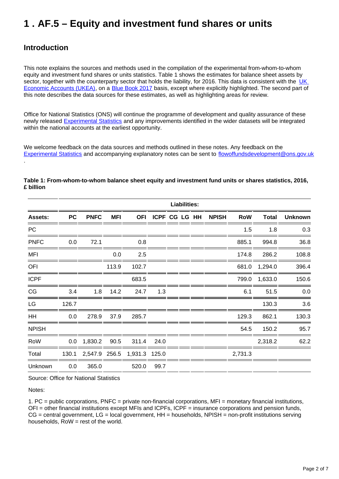# <span id="page-1-0"></span>**1 . AF.5 – Equity and investment fund shares or units**

# **Introduction**

.

This note explains the sources and methods used in the compilation of the experimental from-whom-to-whom equity and investment fund shares or units statistics. Table 1 shows the estimates for balance sheet assets by sector, together with the counterparty sector that holds the liability, for 2016. This data is consistent with the UK [Economic Accounts \(UKEA\),](https://www.ons.gov.uk/economy/nationalaccounts/uksectoraccounts/bulletins/quarterlysectoraccounts/apriltojune2017) on a [Blue Book 2017](https://www.ons.gov.uk/economy/grossdomesticproductgdp/compendium/unitedkingdomnationalaccountsthebluebook/2017) basis, except where explicitly highlighted. The second part of this note describes the data sources for these estimates, as well as highlighting areas for review.

Office for National Statistics (ONS) will continue the programme of development and quality assurance of these newly released **[Experimental Statistics](https://www.ons.gov.uk/economy/nationalaccounts/uksectoraccounts/articles/economicstatisticstransformationprogramme/enhancedfinancialaccountsukflowoffundsexperimentalbalancesheetstatistics1997to2016)** and any improvements identified in the wider datasets will be integrated within the national accounts at the earliest opportunity.

We welcome feedback on the data sources and methods outlined in these notes. Any feedback on the [Experimental Statistics](https://www.ons.gov.uk/economy/nationalaccounts/uksectoraccounts/articles/economicstatisticstransformationprogramme/enhancedfinancialaccountsukflowoffundsexperimentalbalancesheetstatistics1997to2016) and accompanying explanatory notes can be sent to flowoffundsdevelopment@ons.gov.uk

|                | <b>Liabilities:</b> |               |            |               |                   |  |  |  |              |            |              |                |
|----------------|---------------------|---------------|------------|---------------|-------------------|--|--|--|--------------|------------|--------------|----------------|
| <b>Assets:</b> | <b>PC</b>           | <b>PNFC</b>   | <b>MFI</b> |               | OFI ICPF CG LG HH |  |  |  | <b>NPISH</b> | <b>RoW</b> | <b>Total</b> | <b>Unknown</b> |
| <b>PC</b>      |                     |               |            |               |                   |  |  |  |              | 1.5        | 1.8          | 0.3            |
| <b>PNFC</b>    | 0.0                 | 72.1          |            | 0.8           |                   |  |  |  |              | 885.1      | 994.8        | 36.8           |
| <b>MFI</b>     |                     |               | 0.0        | 2.5           |                   |  |  |  |              | 174.8      | 286.2        | 108.8          |
| OFI            |                     |               | 113.9      | 102.7         |                   |  |  |  |              | 681.0      | 1,294.0      | 396.4          |
| <b>ICPF</b>    |                     |               |            | 683.5         |                   |  |  |  |              | 799.0      | 1,633.0      | 150.6          |
| CG             | 3.4                 | 1.8           | 14.2       | 24.7          | 1.3               |  |  |  |              | 6.1        | 51.5         | 0.0            |
| LG             | 126.7               |               |            |               |                   |  |  |  |              |            | 130.3        | 3.6            |
| HH             | 0.0                 | 278.9         | 37.9       | 285.7         |                   |  |  |  |              | 129.3      | 862.1        | 130.3          |
| <b>NPISH</b>   |                     |               |            |               |                   |  |  |  |              | 54.5       | 150.2        | 95.7           |
| RoW            |                     | $0.0$ 1,830.2 | 90.5       | 311.4         | 24.0              |  |  |  |              |            | 2,318.2      | 62.2           |
| Total          | 130.1               | 2,547.9 256.5 |            | 1,931.3 125.0 |                   |  |  |  |              | 2,731.3    |              |                |
| Unknown        | 0.0                 | 365.0         |            | 520.0         | 99.7              |  |  |  |              |            |              |                |

#### **Table 1: From-whom-to-whom balance sheet equity and investment fund units or shares statistics, 2016, £ billion**

Source: Office for National Statistics

Notes:

1. PC = public corporations, PNFC = private non-financial corporations, MFI = monetary financial institutions, OFI = other financial institutions except MFIs and ICPFs, ICPF = insurance corporations and pension funds,  $CG =$  central government,  $LG =$  local government,  $HH =$  households, NPISH = non-profit institutions serving households,  $Row = rest$  of the world.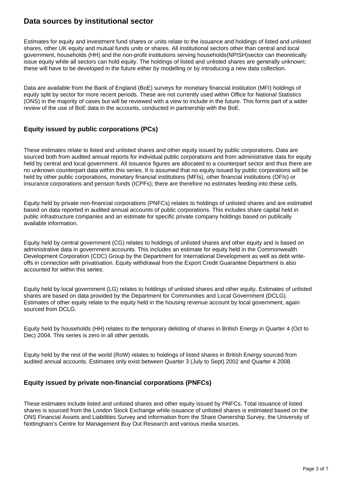# **Data sources by institutional sector**

Estimates for equity and investment fund shares or units relate to the issuance and holdings of listed and unlisted shares, other UK equity and mutual funds units or shares. All institutional sectors other than central and local government, households (HH) and the non-profit institutions serving households(NPISH)sector can theoretically issue equity while all sectors can hold equity. The holdings of listed and unlisted shares are generally unknown; these will have to be developed in the future either by modelling or by introducing a new data collection.

Data are available from the Bank of England (BoE) surveys for monetary financial institution (MFI) holdings of equity split by sector for more recent periods. These are not currently used within Office for National Statistics (ONS) in the majority of cases but will be reviewed with a view to include in the future. This forms part of a wider review of the use of BoE data in the accounts, conducted in partnership with the BoE.

# **Equity issued by public corporations (PCs)**

These estimates relate to listed and unlisted shares and other equity issued by public corporations. Data are sourced both from audited annual reports for individual public corporations and from administrative data for equity held by central and local government. All issuance figures are allocated to a counterpart sector and thus there are no unknown counterpart data within this series. It is assumed that no equity issued by public corporations will be held by other public corporations, monetary financial institutions (MFIs), other financial institutions (OFIs) or insurance corporations and pension funds (ICPFs); there are therefore no estimates feeding into these cells.

Equity held by private non-financial corporations (PNFCs) relates to holdings of unlisted shares and are estimated based on data reported in audited annual accounts of public corporations. This includes share capital held in public infrastructure companies and an estimate for specific private company holdings based on publically available information.

Equity held by central government (CG) relates to holdings of unlisted shares and other equity and is based on administrative data in government accounts. This includes an estimate for equity held in the Commonwealth Development Corporation (CDC) Group by the Department for International Development as well as debt writeoffs in connection with privatisation. Equity withdrawal from the Export Credit Guarantee Department is also accounted for within this series.

Equity held by local government (LG) relates to holdings of unlisted shares and other equity. Estimates of unlisted shares are based on data provided by the Department for Communities and Local Government (DCLG). Estimates of other equity relate to the equity held in the housing revenue account by local government, again sourced from DCLG.

Equity held by households (HH) relates to the temporary delisting of shares in British Energy in Quarter 4 (Oct to Dec) 2004. This series is zero in all other periods.

Equity held by the rest of the world (RoW) relates to holdings of listed shares in British Energy sourced from audited annual accounts. Estimates only exist between Quarter 3 (July to Sept) 2002 and Quarter 4 2008.

## **Equity issued by private non-financial corporations (PNFCs)**

These estimates include listed and unlisted shares and other equity issued by PNFCs. Total issuance of listed shares is sourced from the London Stock Exchange while issuance of unlisted shares is estimated based on the ONS Financial Assets and Liabilities Survey and information from the Share Ownership Survey, the University of Nottingham's Centre for Management Buy Out Research and various media sources.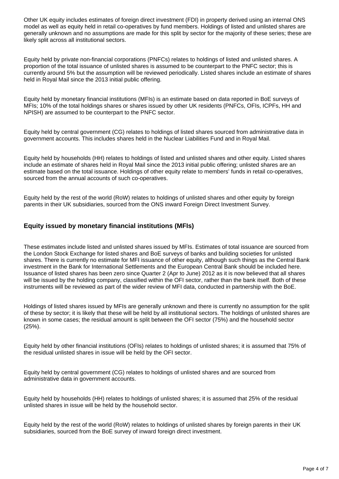Other UK equity includes estimates of foreign direct investment (FDI) in property derived using an internal ONS model as well as equity held in retail co-operatives by fund members. Holdings of listed and unlisted shares are generally unknown and no assumptions are made for this split by sector for the majority of these series; these are likely split across all institutional sectors.

Equity held by private non-financial corporations (PNFCs) relates to holdings of listed and unlisted shares. A proportion of the total issuance of unlisted shares is assumed to be counterpart to the PNFC sector; this is currently around 5% but the assumption will be reviewed periodically. Listed shares include an estimate of shares held in Royal Mail since the 2013 initial public offering.

Equity held by monetary financial institutions (MFIs) is an estimate based on data reported in BoE surveys of MFIs; 10% of the total holdings shares or shares issued by other UK residents (PNFCs, OFIs, ICPFs, HH and NPISH) are assumed to be counterpart to the PNFC sector.

Equity held by central government (CG) relates to holdings of listed shares sourced from administrative data in government accounts. This includes shares held in the Nuclear Liabilities Fund and in Royal Mail.

Equity held by households (HH) relates to holdings of listed and unlisted shares and other equity. Listed shares include an estimate of shares held in Royal Mail since the 2013 initial public offering; unlisted shares are an estimate based on the total issuance. Holdings of other equity relate to members' funds in retail co-operatives, sourced from the annual accounts of such co-operatives.

Equity held by the rest of the world (RoW) relates to holdings of unlisted shares and other equity by foreign parents in their UK subsidiaries, sourced from the ONS inward Foreign Direct Investment Survey.

### **Equity issued by monetary financial institutions (MFIs)**

These estimates include listed and unlisted shares issued by MFIs. Estimates of total issuance are sourced from the London Stock Exchange for listed shares and BoE surveys of banks and building societies for unlisted shares. There is currently no estimate for MFI issuance of other equity, although such things as the Central Bank investment in the Bank for International Settlements and the European Central Bank should be included here. Issuance of listed shares has been zero since Quarter 2 (Apr to June) 2012 as it is now believed that all shares will be issued by the holding company, classified within the OFI sector, rather than the bank itself. Both of these instruments will be reviewed as part of the wider review of MFI data, conducted in partnership with the BoE.

Holdings of listed shares issued by MFIs are generally unknown and there is currently no assumption for the split of these by sector; it is likely that these will be held by all institutional sectors. The holdings of unlisted shares are known in some cases; the residual amount is split between the OFI sector (75%) and the household sector (25%).

Equity held by other financial institutions (OFIs) relates to holdings of unlisted shares; it is assumed that 75% of the residual unlisted shares in issue will be held by the OFI sector.

Equity held by central government (CG) relates to holdings of unlisted shares and are sourced from administrative data in government accounts.

Equity held by households (HH) relates to holdings of unlisted shares; it is assumed that 25% of the residual unlisted shares in issue will be held by the household sector.

Equity held by the rest of the world (RoW) relates to holdings of unlisted shares by foreign parents in their UK subsidiaries, sourced from the BoE survey of inward foreign direct investment.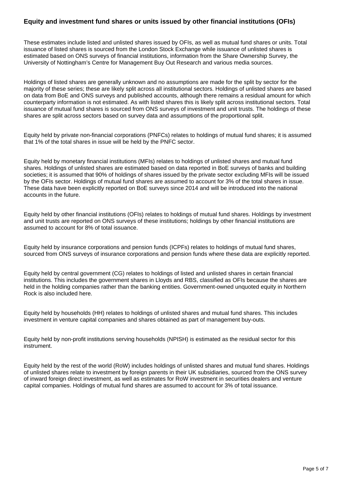### **Equity and investment fund shares or units issued by other financial institutions (OFIs)**

These estimates include listed and unlisted shares issued by OFIs, as well as mutual fund shares or units. Total issuance of listed shares is sourced from the London Stock Exchange while issuance of unlisted shares is estimated based on ONS surveys of financial institutions, information from the Share Ownership Survey, the University of Nottingham's Centre for Management Buy Out Research and various media sources.

Holdings of listed shares are generally unknown and no assumptions are made for the split by sector for the majority of these series; these are likely split across all institutional sectors. Holdings of unlisted shares are based on data from BoE and ONS surveys and published accounts, although there remains a residual amount for which counterparty information is not estimated. As with listed shares this is likely split across institutional sectors. Total issuance of mutual fund shares is sourced from ONS surveys of investment and unit trusts. The holdings of these shares are split across sectors based on survey data and assumptions of the proportional split.

Equity held by private non-financial corporations (PNFCs) relates to holdings of mutual fund shares; it is assumed that 1% of the total shares in issue will be held by the PNFC sector.

Equity held by monetary financial institutions (MFIs) relates to holdings of unlisted shares and mutual fund shares. Holdings of unlisted shares are estimated based on data reported in BoE surveys of banks and building societies; it is assumed that 90% of holdings of shares issued by the private sector excluding MFIs will be issued by the OFIs sector. Holdings of mutual fund shares are assumed to account for 3% of the total shares in issue. These data have been explicitly reported on BoE surveys since 2014 and will be introduced into the national accounts in the future.

Equity held by other financial institutions (OFIs) relates to holdings of mutual fund shares. Holdings by investment and unit trusts are reported on ONS surveys of these institutions; holdings by other financial institutions are assumed to account for 8% of total issuance.

Equity held by insurance corporations and pension funds (ICPFs) relates to holdings of mutual fund shares, sourced from ONS surveys of insurance corporations and pension funds where these data are explicitly reported.

Equity held by central government (CG) relates to holdings of listed and unlisted shares in certain financial institutions. This includes the government shares in Lloyds and RBS, classified as OFIs because the shares are held in the holding companies rather than the banking entities. Government-owned unquoted equity in Northern Rock is also included here.

Equity held by households (HH) relates to holdings of unlisted shares and mutual fund shares. This includes investment in venture capital companies and shares obtained as part of management buy-outs.

Equity held by non-profit institutions serving households (NPISH) is estimated as the residual sector for this instrument.

Equity held by the rest of the world (RoW) includes holdings of unlisted shares and mutual fund shares. Holdings of unlisted shares relate to investment by foreign parents in their UK subsidiaries, sourced from the ONS survey of inward foreign direct investment, as well as estimates for RoW investment in securities dealers and venture capital companies. Holdings of mutual fund shares are assumed to account for 3% of total issuance.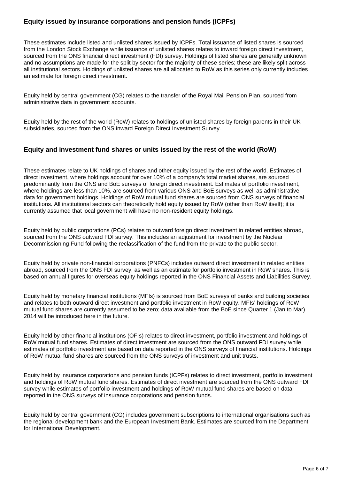## **Equity issued by insurance corporations and pension funds (ICPFs)**

These estimates include listed and unlisted shares issued by ICPFs. Total issuance of listed shares is sourced from the London Stock Exchange while issuance of unlisted shares relates to inward foreign direct investment, sourced from the ONS financial direct investment (FDI) survey. Holdings of listed shares are generally unknown and no assumptions are made for the split by sector for the majority of these series; these are likely split across all institutional sectors. Holdings of unlisted shares are all allocated to RoW as this series only currently includes an estimate for foreign direct investment.

Equity held by central government (CG) relates to the transfer of the Royal Mail Pension Plan, sourced from administrative data in government accounts.

Equity held by the rest of the world (RoW) relates to holdings of unlisted shares by foreign parents in their UK subsidiaries, sourced from the ONS inward Foreign Direct Investment Survey.

#### **Equity and investment fund shares or units issued by the rest of the world (RoW)**

These estimates relate to UK holdings of shares and other equity issued by the rest of the world. Estimates of direct investment, where holdings account for over 10% of a company's total market shares, are sourced predominantly from the ONS and BoE surveys of foreign direct investment. Estimates of portfolio investment, where holdings are less than 10%, are sourced from various ONS and BoE surveys as well as administrative data for government holdings. Holdings of RoW mutual fund shares are sourced from ONS surveys of financial institutions. All institutional sectors can theoretically hold equity issued by RoW (other than RoW itself); it is currently assumed that local government will have no non-resident equity holdings.

Equity held by public corporations (PCs) relates to outward foreign direct investment in related entities abroad, sourced from the ONS outward FDI survey. This includes an adjustment for investment by the Nuclear Decommissioning Fund following the reclassification of the fund from the private to the public sector.

Equity held by private non-financial corporations (PNFCs) includes outward direct investment in related entities abroad, sourced from the ONS FDI survey, as well as an estimate for portfolio investment in RoW shares. This is based on annual figures for overseas equity holdings reported in the ONS Financial Assets and Liabilities Survey.

Equity held by monetary financial institutions (MFIs) is sourced from BoE surveys of banks and building societies and relates to both outward direct investment and portfolio investment in RoW equity. MFIs' holdings of RoW mutual fund shares are currently assumed to be zero; data available from the BoE since Quarter 1 (Jan to Mar) 2014 will be introduced here in the future.

Equity held by other financial institutions (OFIs) relates to direct investment, portfolio investment and holdings of RoW mutual fund shares. Estimates of direct investment are sourced from the ONS outward FDI survey while estimates of portfolio investment are based on data reported in the ONS surveys of financial institutions. Holdings of RoW mutual fund shares are sourced from the ONS surveys of investment and unit trusts.

Equity held by insurance corporations and pension funds (ICPFs) relates to direct investment, portfolio investment and holdings of RoW mutual fund shares. Estimates of direct investment are sourced from the ONS outward FDI survey while estimates of portfolio investment and holdings of RoW mutual fund shares are based on data reported in the ONS surveys of insurance corporations and pension funds.

Equity held by central government (CG) includes government subscriptions to international organisations such as the regional development bank and the European Investment Bank. Estimates are sourced from the Department for International Development.